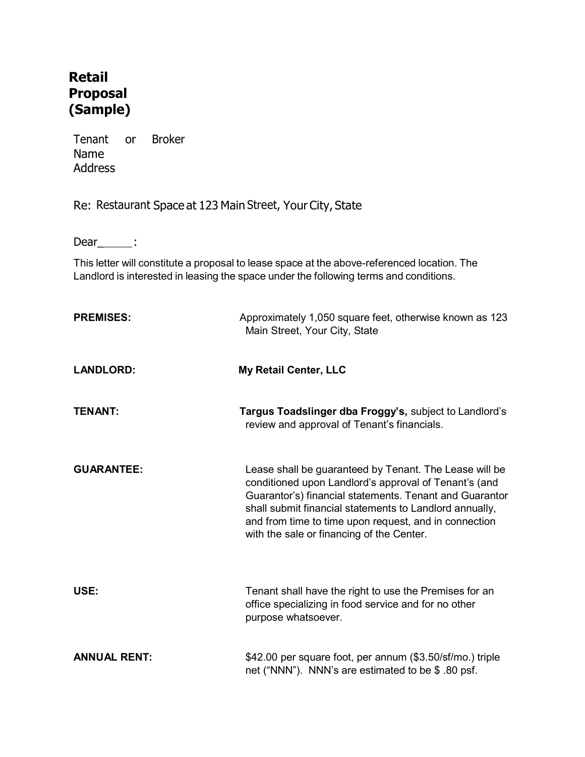## Retail Proposal (Sample)

Tenant or Broker Name Address

Re: Restaurant Space at 123 Main Street, Your City, State

 $Dear$ \_\_\_\_\_:

This letter will constitute a proposal to lease space at the above-referenced location. The Landlord is interested in leasing the space under the following terms and conditions.

| <b>PREMISES:</b>    | Approximately 1,050 square feet, otherwise known as 123<br>Main Street, Your City, State                                                                                                                                                                                                                                                    |
|---------------------|---------------------------------------------------------------------------------------------------------------------------------------------------------------------------------------------------------------------------------------------------------------------------------------------------------------------------------------------|
| <b>LANDLORD:</b>    | <b>My Retail Center, LLC</b>                                                                                                                                                                                                                                                                                                                |
| <b>TENANT:</b>      | Targus Toadslinger dba Froggy's, subject to Landlord's<br>review and approval of Tenant's financials.                                                                                                                                                                                                                                       |
| <b>GUARANTEE:</b>   | Lease shall be guaranteed by Tenant. The Lease will be<br>conditioned upon Landlord's approval of Tenant's (and<br>Guarantor's) financial statements. Tenant and Guarantor<br>shall submit financial statements to Landlord annually,<br>and from time to time upon request, and in connection<br>with the sale or financing of the Center. |
| USE:                | Tenant shall have the right to use the Premises for an<br>office specializing in food service and for no other<br>purpose whatsoever.                                                                                                                                                                                                       |
| <b>ANNUAL RENT:</b> | \$42.00 per square foot, per annum (\$3.50/sf/mo.) triple<br>net ("NNN"). NNN's are estimated to be \$.80 psf.                                                                                                                                                                                                                              |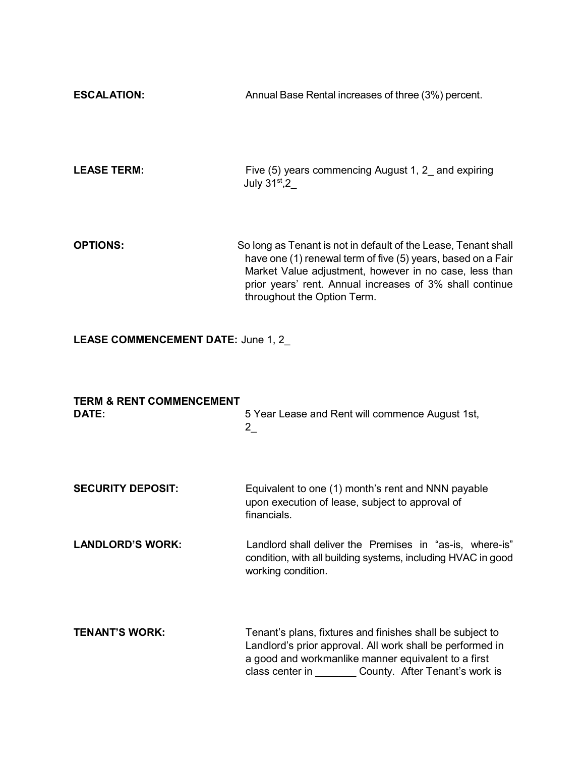| <b>ESCALATION:</b> | Annual Base Rental increases of three (3%) percent.                                                                                                                                                                                                  |
|--------------------|------------------------------------------------------------------------------------------------------------------------------------------------------------------------------------------------------------------------------------------------------|
| <b>LEASE TERM:</b> | Five (5) years commencing August 1, 2 and expiring<br>July $31^\mathrm{st}$ ,2                                                                                                                                                                       |
| <b>OPTIONS:</b>    | So long as Tenant is not in default of the Lease, Tenant shall<br>have one (1) renewal term of five (5) years, based on a Fair<br>Market Value adjustment, however in no case, less than<br>prior years' rent. Annual increases of 3% shall continue |

throughout the Option Term.

## LEASE COMMENCEMENT DATE: June 1, 2

| <b>TERM &amp; RENT COMMENCEMENT</b><br>DATE: | 5 Year Lease and Rent will commence August 1st,<br>$2\overline{a}$                                                                                                                                                              |
|----------------------------------------------|---------------------------------------------------------------------------------------------------------------------------------------------------------------------------------------------------------------------------------|
| <b>SECURITY DEPOSIT:</b>                     | Equivalent to one (1) month's rent and NNN payable<br>upon execution of lease, subject to approval of<br>financials.                                                                                                            |
| <b>LANDLORD'S WORK:</b>                      | Landlord shall deliver the Premises in "as-is, where-is"<br>condition, with all building systems, including HVAC in good<br>working condition.                                                                                  |
| <b>TENANT'S WORK:</b>                        | Tenant's plans, fixtures and finishes shall be subject to<br>Landlord's prior approval. All work shall be performed in<br>a good and workmanlike manner equivalent to a first<br>class center in County. After Tenant's work is |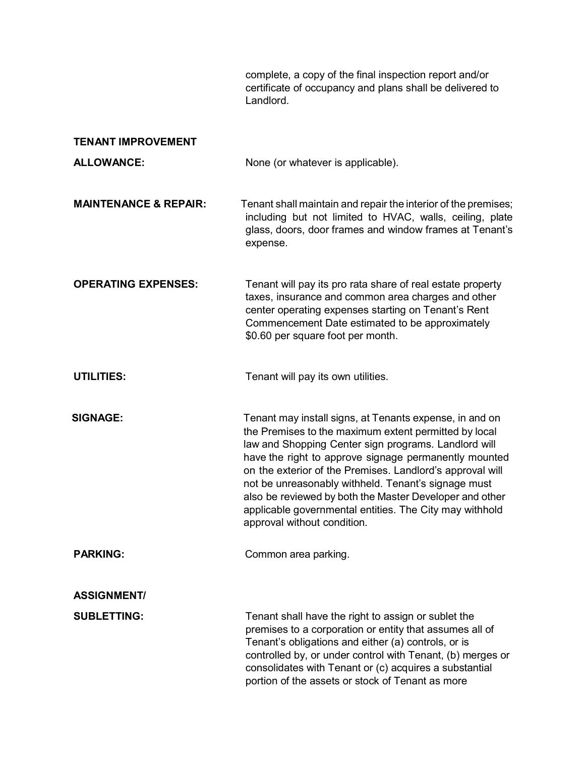complete, a copy of the final inspection report and/or certificate of occupancy and plans shall be delivered to Landlord.

| <b>TENANT IMPROVEMENT</b>        |                                                                                                                                                                                                                                                                                                                                                                                                                                                                                                            |
|----------------------------------|------------------------------------------------------------------------------------------------------------------------------------------------------------------------------------------------------------------------------------------------------------------------------------------------------------------------------------------------------------------------------------------------------------------------------------------------------------------------------------------------------------|
| <b>ALLOWANCE:</b>                | None (or whatever is applicable).                                                                                                                                                                                                                                                                                                                                                                                                                                                                          |
| <b>MAINTENANCE &amp; REPAIR:</b> | Tenant shall maintain and repair the interior of the premises;<br>including but not limited to HVAC, walls, ceiling, plate<br>glass, doors, door frames and window frames at Tenant's<br>expense.                                                                                                                                                                                                                                                                                                          |
| <b>OPERATING EXPENSES:</b>       | Tenant will pay its pro rata share of real estate property<br>taxes, insurance and common area charges and other<br>center operating expenses starting on Tenant's Rent<br>Commencement Date estimated to be approximately<br>\$0.60 per square foot per month.                                                                                                                                                                                                                                            |
| <b>UTILITIES:</b>                | Tenant will pay its own utilities.                                                                                                                                                                                                                                                                                                                                                                                                                                                                         |
| <b>SIGNAGE:</b>                  | Tenant may install signs, at Tenants expense, in and on<br>the Premises to the maximum extent permitted by local<br>law and Shopping Center sign programs. Landlord will<br>have the right to approve signage permanently mounted<br>on the exterior of the Premises. Landlord's approval will<br>not be unreasonably withheld. Tenant's signage must<br>also be reviewed by both the Master Developer and other<br>applicable governmental entities. The City may withhold<br>approval without condition. |
| <b>PARKING:</b>                  | Common area parking.                                                                                                                                                                                                                                                                                                                                                                                                                                                                                       |
| <b>ASSIGNMENT/</b>               |                                                                                                                                                                                                                                                                                                                                                                                                                                                                                                            |
| <b>SUBLETTING:</b>               | Tenant shall have the right to assign or sublet the<br>premises to a corporation or entity that assumes all of<br>Tenant's obligations and either (a) controls, or is<br>controlled by, or under control with Tenant, (b) merges or<br>consolidates with Tenant or (c) acquires a substantial<br>portion of the assets or stock of Tenant as more                                                                                                                                                          |